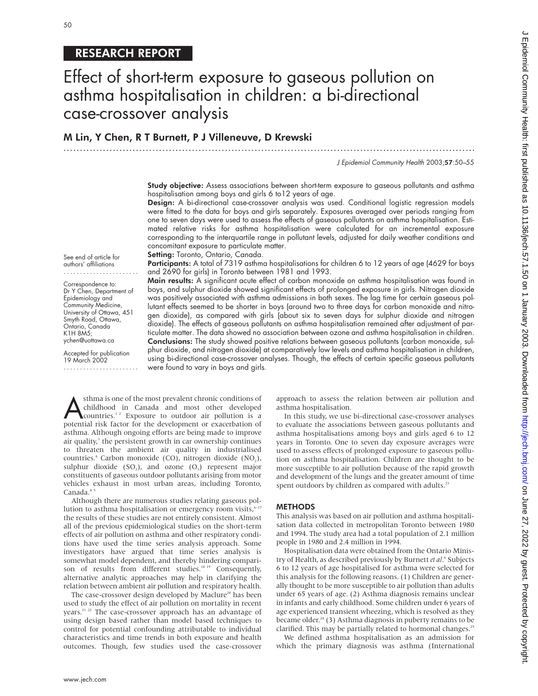# RESEARCH REPORT

# Effect of short-term exposure to gaseous pollution on asthma hospitalisation in children: a bi-directional case-crossover analysis

# M Lin, Y Chen, R T Burnett, P J Villeneuve, D Krewski

.............................................................................................................................

J Epidemiol Community Health 2003;57:50–55

**Study objective:** Assess associations between short-term exposure to gaseous pollutants and asthma hospitalisation among boys and girls 6 to12 years of age.

Design: A bi-directional case-crossover analysis was used. Conditional logistic regression models were fitted to the data for boys and girls separately. Exposures averaged over periods ranging from one to seven days were used to assess the effects of gaseous pollutants on asthma hospitalisation. Estimated relative risks for asthma hospitalisation were calculated for an incremental exposure corresponding to the interquartile range in pollutant levels, adjusted for daily weather conditions and concomitant exposure to particulate matter.

Setting: Toronto, Ontario, Canada.

Participants: A total of 7319 asthma hospitalisations for children 6 to 12 years of age (4629 for boys and 2690 for girls) in Toronto between 1981 and 1993.

Main results: A significant acute effect of carbon monoxide on asthma hospitalisation was found in boys, and sulphur dioxide showed significant effects of prolonged exposure in girls. Nitrogen dioxide was positively associated with asthma admissions in both sexes. The lag time for certain gaseous pollutant effects seemed to be shorter in boys (around two to three days for carbon monoxide and nitrogen dioxide), as compared with girls (about six to seven days for sulphur dioxide and nitrogen dioxide). The effects of gaseous pollutants on asthma hospitalisation remained after adjustment of particulate matter. The data showed no association between ozone and asthma hospitalisation in children. Conclusions: The study showed positive relations between gaseous pollutants (carbon monoxide, sulphur dioxide, and nitrogen dioxide) at comparatively low levels and asthma hospitalisation in children, using bi-directional case-crossover analyses. Though, the effects of certain specific gaseous pollutants were found to vary in boys and girls.

See end of article for authors' affiliations .......................

Correspondence to: Dr Y Chen, Department of Epidemiology and Community Medicine, University of Ottawa, 451 Smyth Road, Ottawa, Ontario, Canada K1H 8M5; ychen@uottawa.ca

Accepted for publication 19 March 2002 .......................

**Asthma is one of the most prevalent chronic conditions of**<br>countries.<sup>1,2</sup> Exposure to outdoor air pollution is a<br>potential risk factor for the development or exacerbation of childhood in Canada and most other developed potential risk factor for the development or exacerbation of asthma. Although ongoing efforts are being made to improve air quality, $3$  the persistent growth in car ownership continues to threaten the ambient air quality in industrialised countries.<sup>4</sup> Carbon monoxide (CO), nitrogen dioxide (NO<sub>2</sub>), sulphur dioxide  $(SO_2)$ , and ozone  $(O_2)$  represent major constituents of gaseous outdoor pollutants arising from motor vehicles exhaust in most urban areas, including Toronto, Canada.<sup>4</sup>

Although there are numerous studies relating gaseous pollution to asthma hospitalisation or emergency room visits,<sup>6-17</sup> the results of these studies are not entirely consistent. Almost all of the previous epidemiological studies on the short-term effects of air pollution on asthma and other respiratory conditions have used the time series analysis approach. Some investigators have argued that time series analysis is somewhat model dependent, and thereby hindering comparison of results from different studies.<sup>18 19</sup> Consequently, alternative analytic approaches may help in clarifying the relation between ambient air pollution and respiratory health.

The case-crossover design developed by Maclure<sup>20</sup> has been used to study the effect of air pollution on mortality in recent years.21 22 The case-crossover approach has an advantage of using design based rather than model based techniques to control for potential confounding attributable to individual characteristics and time trends in both exposure and health outcomes. Though, few studies used the case-crossover

approach to assess the relation between air pollution and asthma hospitalisation.

In this study, we use bi-directional case-crossover analyses to evaluate the associations between gaseous pollutants and asthma hospitalisations among boys and girls aged 6 to 12 years in Toronto. One to seven day exposure averages were used to assess effects of prolonged exposure to gaseous pollution on asthma hospitalisation. Children are thought to be more susceptible to air pollution because of the rapid growth and development of the lungs and the greater amount of time spent outdoors by children as compared with adults.<sup>23</sup>

#### METHODS

This analysis was based on air pollution and asthma hospitalisation data collected in metropolitan Toronto between 1980 and 1994. The study area had a total population of 2.1 million people in 1980 and 2.4 million in 1994.

Hospitalisation data were obtained from the Ontario Ministry of Health, as described previously by Burnett *et al*. <sup>6</sup> Subjects 6 to 12 years of age hospitalised for asthma were selected for this analysis for the following reasons. (1) Children are generally thought to be more susceptible to air pollution than adults under 65 years of age. (2) Asthma diagnosis remains unclear in infants and early childhood. Some children under 6 years of age experienced transient wheezing, which is resolved as they became older.<sup>24</sup> (3) Asthma diagnosis in puberty remains to be clarified. This may be partially related to hormonal changes.<sup>25</sup>

We defined asthma hospitalisation as an admission for which the primary diagnosis was asthma (International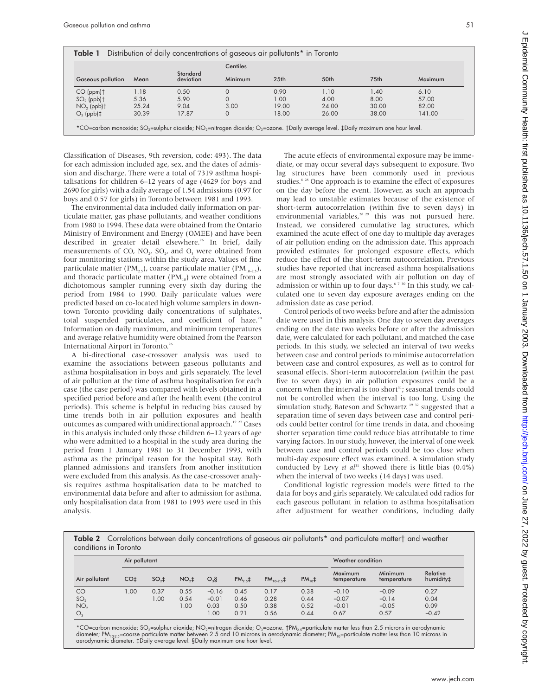| <b>Gaseous pollution</b> |       |                              | Centiles |                  |       |                  |         |  |  |  |  |
|--------------------------|-------|------------------------------|----------|------------------|-------|------------------|---------|--|--|--|--|
|                          | Mean  | <b>Standard</b><br>deviation | Minimum  | 25 <sub>th</sub> | 50th  | 75 <sub>th</sub> | Maximum |  |  |  |  |
| $CO (ppm)$ <sup>†</sup>  | 1.18  | 0.50                         |          | 0.90             | 1.10  | 1.40             | 6.10    |  |  |  |  |
| $SO2$ (ppb) †            | 5.36  | 5.90                         |          | 1.00             | 4.00  | 8.00             | 57.00   |  |  |  |  |
| $NO2$ (ppb) $\dagger$    | 25.24 | 9.04                         | 3.00     | 19.00            | 24.00 | 30.00            | 82.00   |  |  |  |  |
| $O_3$ (ppb) $\ddagger$   | 30.39 | 17.87                        |          | 18.00            | 26.00 | 38.00            | 141.00  |  |  |  |  |

-carbon monoxide; SO<sub>2</sub>=sulphur dioxide; NO<sub>2</sub>=nitrogen dioxide; O<sub>3</sub>=ozone. †Daily average level. ‡Daily maximum one hour level

Classification of Diseases, 9th reversion, code: 493). The data for each admission included age, sex, and the dates of admission and discharge. There were a total of 7319 asthma hospitalisations for children 6–12 years of age (4629 for boys and 2690 for girls) with a daily average of 1.54 admissions (0.97 for boys and 0.57 for girls) in Toronto between 1981 and 1993.

The environmental data included daily information on particulate matter, gas phase pollutants, and weather conditions from 1980 to 1994. These data were obtained from the Ontario Ministry of Environment and Energy (OMEE) and have been described in greater detail elsewhere.<sup>26</sup> In brief, daily measurements of CO,  $NO<sub>2</sub>$ ,  $SO<sub>2</sub>$ , and  $O<sub>3</sub>$  were obtained from four monitoring stations within the study area. Values of fine particulate matter (PM<sub>25</sub>), coarse particulate matter (PM<sub>10–25</sub>), and thoracic particulate matter  $(PM_{10})$  were obtained from a dichotomous sampler running every sixth day during the period from 1984 to 1990. Daily particulate values were predicted based on co-located high volume samplers in downtown Toronto providing daily concentrations of sulphates, total suspended particulates, and coefficient of haze.<sup>21</sup> Information on daily maximum, and minimum temperatures and average relative humidity were obtained from the Pearson International Airport in Toronto.<sup>26</sup>

A bi-directional case-crossover analysis was used to examine the associations between gaseous pollutants and asthma hospitalisation in boys and girls separately. The level of air pollution at the time of asthma hospitalisation for each case (the case period) was compared with levels obtained in a specified period before and after the health event (the control periods). This scheme is helpful in reducing bias caused by time trends both in air pollution exposures and health outcomes as compared with unidirectional approach.<sup>19 27</sup> Cases in this analysis included only those children 6–12 years of age who were admitted to a hospital in the study area during the period from 1 January 1981 to 31 December 1993, with asthma as the principal reason for the hospital stay. Both planned admissions and transfers from another institution were excluded from this analysis. As the case-crossover analysis requires asthma hospitalisation data to be matched to environmental data before and after to admission for asthma, only hospitalisation data from 1981 to 1993 were used in this analysis.

The acute effects of environmental exposure may be immediate, or may occur several days subsequent to exposure. Two lag structures have been commonly used in previous studies.<sup>8 28</sup> One approach is to examine the effect of exposures on the day before the event. However, as such an approach may lead to unstable estimates because of the existence of short-term autocorrelation (within five to seven days) in environmental variables, $28 \times 29$  this was not pursued here. Instead, we considered cumulative lag structures, which examined the acute effect of one day to multiple day averages of air pollution ending on the admission date. This approach provided estimates for prolonged exposure effects, which reduce the effect of the short-term autocorrelation. Previous studies have reported that increased asthma hospitalisations are most strongly associated with air pollution on day of admission or within up to four days.<sup>6730</sup> In this study, we calculated one to seven day exposure averages ending on the admission date as case period.

Control periods of two weeks before and after the admission date were used in this analysis. One day to seven day averages ending on the date two weeks before or after the admission date, were calculated for each pollutant, and matched the case periods. In this study, we selected an interval of two weeks between case and control periods to minimise autocorrelation between case and control exposures, as well as to control for seasonal effects. Short-term autocorrelation (within the past five to seven days) in air pollution exposures could be a concern when the interval is too short<sup>31</sup>; seasonal trends could not be controlled when the interval is too long. Using the simulation study, Bateson and Schwartz<sup>19 32</sup> suggested that a separation time of seven days between case and control periods could better control for time trends in data, and choosing shorter separation time could reduce bias attributable to time varying factors. In our study, however, the interval of one week between case and control periods could be too close when multi-day exposure effect was examined. A simulation study conducted by Levy *et al*<sup>31</sup> showed there is little bias (0.4%) when the interval of two weeks (14 days) was used.

Conditional logistic regression models were fitted to the data for boys and girls separately. We calculated odd radios for each gaseous pollutant in relation to asthma hospitalisation after adjustment for weather conditions, including daily

Table 2 Correlations between daily concentrations of gaseous air pollutants\* and particulate matter† and weather conditions in Toronto

|                 | Air pollutant |         |                 |         | Weather condition |               |                        |                        |                        |                       |  |
|-----------------|---------------|---------|-----------------|---------|-------------------|---------------|------------------------|------------------------|------------------------|-----------------------|--|
| Air pollutant   | CO‡           | $SO2$ ‡ | NO <sub>2</sub> | $O_3S$  | $PM_{2.5}$ #      | $PM_{10-2.5}$ | $PM_{10}$ <sup>+</sup> | Maximum<br>temperature | Minimum<br>temperature | Relative<br>humidity‡ |  |
| CO              | .00.          | 0.37    | 0.55            | $-0.16$ | 0.45              | 0.17          | 0.38                   | $-0.10$                | $-0.09$                | 0.27                  |  |
| SO <sub>2</sub> |               | 00.1    | 0.54            | $-0.01$ | 0.46              | 0.28          | 0.44                   | $-0.07$                | $-0.14$                | 0.04                  |  |
| NO <sub>2</sub> |               |         | 1.00            | 0.03    | 0.50              | 0.38          | 0.52                   | $-0.01$                | $-0.05$                | 0.09                  |  |
| $O_3$           |               |         |                 | .00     | 0.21              | 0.56          | 0.44                   | 0.67                   | 0.57                   | $-0.42$               |  |

\*CO=carbon monoxide; SO2=sulphur dioxide; NO2=nitrogen dioxide; O3=ozone. †PM2.5=particulate matter less than 2.5 microns in aerodynamic diameter; PM<sub>102.5</sub>=coarse particulate matter between 2.5 and 10 microns in aerodynamic diameter; PM<sub>10</sub>=particulate matter less than 10 microns in aerodynamic diameter. ‡Daily average level. §Daily maximum one hour level.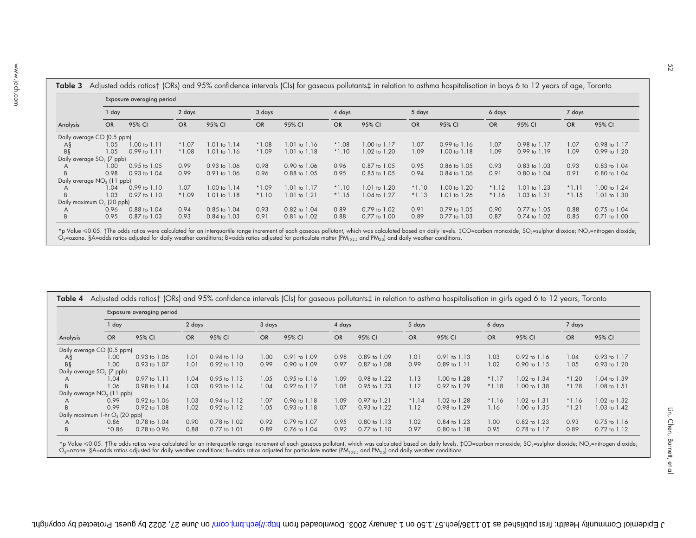|                                        |           | Exposure averaging period |           |                  |           |                         |           |                  |           |                         |           |                  |           |                  |  |
|----------------------------------------|-----------|---------------------------|-----------|------------------|-----------|-------------------------|-----------|------------------|-----------|-------------------------|-----------|------------------|-----------|------------------|--|
|                                        | $1$ day   |                           |           | 2 days           |           | 3 days                  |           | 4 days           |           | 5 days                  |           | 6 days           |           |                  |  |
| Analysis                               | <b>OR</b> | 95% CI                    | <b>OR</b> | 95% CI           | <b>OR</b> | 95% CI                  | <b>OR</b> | 95% CI           | <b>OR</b> | 95% CI                  | <b>OR</b> | 95% CI           | <b>OR</b> | 95% CI           |  |
| Daily average CO (0.5 ppm)             |           |                           |           |                  |           |                         |           |                  |           |                         |           |                  |           |                  |  |
| A§                                     | 1.05      | $1.00 \text{ to } 1.11$   | $*1.07$   | $1.01$ to $1.14$ | $*1.08$   | $1.01$ to $1.16$        | $*1.08$   | 1.00 to 1.17     | 1.07      | $0.99$ to $1.16$        | 1.07      | 0.98 to 1.17     | 1.07      | 0.98 to 1.17     |  |
| BŞ                                     | 1.05      | $0.99$ to $1.11$          | $*1.08$   | 1.01 to 1.16     | $*1.09$   | 1.01 to 1.18            | $*1.10$   | 1.02 to 1.20     | 1.09      | 1.00 to 1.18            | 1.09      | $0.99$ to $1.19$ | 1.09      | 0.99 to 1.20     |  |
| Daily average SO <sub>2</sub> (7 ppb)  |           |                           |           |                  |           |                         |           |                  |           |                         |           |                  |           |                  |  |
|                                        | 1.00      | $0.95$ to $1.05$          | 0.99      | $0.93$ to $1.06$ | 0.98      | $0.90 \text{ to } 1.06$ | 0.96      | $0.87$ to $1.05$ | 0.95      | $0.86$ to $1.05$        | 0.93      | $0.83$ to $1.03$ | 0.93      | $0.83$ to $1.04$ |  |
|                                        | 0.98      | $0.93$ to $1.04$          | 0.99      | 0.91 to 1.06     | 0.96      | 0.88 to 1.05            | 0.95      | 0.85 to 1.05     | 0.94      | 0.84 to 1.06            | 0.91      | 0.80 to 1.04     | 0.91      | 0.80 to 1.04     |  |
| Daily average NO <sub>2</sub> (11 ppb) |           |                           |           |                  |           |                         |           |                  |           |                         |           |                  |           |                  |  |
|                                        | 1.04      | $0.99$ to $1.10$          | 1.07      | 1.00 to 1.14     | $*1.09$   | $1.01$ to $1.17$        | $*1.10$   | 1.01 to 1.20     | $*1.10$   | $1.00 \text{ to } 1.20$ | $*1.12$   | 1.01 to 1.23     | $*1.11$   | 1.00 to 1.24     |  |
|                                        | 1.03      | $0.97$ to $1.10$          | $*1.09$   | 1.01 to 1.18     | $*1.10$   | $1.01$ to $1.21$        | $*1.15$   | 1.04 to 1.27     | $*1.13$   | 1.01 to 1.26            | $*1.16$   | 1.03 to 1.31     | $*1.15$   | 1.01 to 1.30     |  |
| Daily maximum $O_3$ (20 ppb)           |           |                           |           |                  |           |                         |           |                  |           |                         |           |                  |           |                  |  |
|                                        | 0.96      | 0.88 to 1.04              | 0.94      | $0.85$ to $1.04$ | 0.93      | $0.82$ to $1.04$        | 0.89      | $0.79$ to $1.02$ | 0.91      | $0.79$ to $1.05$        | 0.90      | $0.77$ to $1.05$ | 0.88      | 0.75 to 1.04     |  |
|                                        | 0.95      | 0.87 to 1.03              | 0.93      | $0.84$ to $1.03$ | 0.91      | 0.81 to 1.02            | 0.88      | 0.77 to 1.00     | 0.89      | 0.77 to 1.03            | 0.87      | 0.74 to 1.02     | 0.85      | $0.71$ to $1.00$ |  |

\*p Value ≤0.05. †The odds ratios were calculated for an interquartile range increment of each gaseous pollutant, which was calculated based on daily levels. ‡CO=carbon monoxide; SO<sub>2</sub>=sulphur dioxide; NO<sub>2</sub>=nitrogen dioxi

| Analysis |                                       | Exposure averaging period |           |                         |           |                  |           |                  |           |                  |           |                         |           |                  |  |
|----------|---------------------------------------|---------------------------|-----------|-------------------------|-----------|------------------|-----------|------------------|-----------|------------------|-----------|-------------------------|-----------|------------------|--|
|          | 1 day                                 |                           |           | 2 days                  |           | 3 days           |           | 4 days           |           | 5 days           |           | 6 days                  |           |                  |  |
|          | <b>OR</b>                             | 95% CI                    | <b>OR</b> | 95% CI                  | <b>OR</b> | 95% CI           | <b>OR</b> | 95% CI           | <b>OR</b> | 95% CI           | <b>OR</b> | 95% CI                  | <b>OR</b> | 95% CI           |  |
|          | Daily average CO (0.5 ppm)            |                           |           |                         |           |                  |           |                  |           |                  |           |                         |           |                  |  |
| Α§       | 1.00                                  | 0.93 to 1.06              | 1.01      | $0.94 \text{ to } 1.10$ | 1.00      | $0.91$ to $1.09$ | 0.98      | $0.89$ to $1.09$ | 1.01      | $0.91$ to $1.13$ | 1.03      | $0.92 \text{ to } 1.16$ | 1.04      | $0.93$ to $1.17$ |  |
| BŞ       | 1.00                                  | 0.93 to 1.07              | 1.01      | $0.92$ to $1.10$        | 0.99      | 0.90 to 1.09     | 0.97      | $0.87$ to $1.08$ | 0.99      | 0.89 to 1.11     | 1.02      | 0.90 to 1.15            | 1.05      | 0.93 to 1.20     |  |
|          | Daily average SO <sub>2</sub> (7 ppb) |                           |           |                         |           |                  |           |                  |           |                  |           |                         |           |                  |  |
|          | 1.04                                  | $0.97$ to $1.11$          | 1.04      | $0.95 \text{ to } 1.13$ | 1.05      | $0.95$ to 1.16   | 1.09      | 0.98 to 1.22     | 1.13      | 1.00 to 1.28     | $*1.17$   | 1.02 to 1.34            | $*1.20$   | 1.04 to 1.39     |  |
|          | 1.06                                  | 0.98 to 1.14              | 1.03      | $0.93$ to $1.14$        | 1.04      | 0.92 to 1.17     | 1.08      | 0.95 to 1.23     | 1.12      | 0.97 to 1.29     | $*1.18$   | 1.00 to 1.38            | $*1.28$   | 1.08 to 1.51     |  |
|          | Daily average $NO2$ (11 ppb)          |                           |           |                         |           |                  |           |                  |           |                  |           |                         |           |                  |  |
|          | 0.99                                  | 0.92 to 1.06              | 1.03      | $0.94$ to $1.12$        | 1.07      | $0.96$ to $1.18$ | 1.09      | 0.97 to 1.21     | $*1.14$   | 1.02 to 1.28     | $*1.16$   | 1.02 to 1.31            | $*1.16$   | 1.02 to 1.32     |  |
|          | 0.99                                  | 0.92 to 1.08              | 1.02      | 0.92 to 1.12            | 1.05      | 0.93 to 1.18     | 1.07      | 0.93 to 1.22     | 1.12      | 0.98 to 1.29     | 1.16      | 1.00 to 1.35            | $*1.21$   | 1.03 to 1.42     |  |
|          | Daily maximum $1-hrO3$ (20 ppb)       |                           |           |                         |           |                  |           |                  |           |                  |           |                         |           |                  |  |
|          | 0.86                                  | 0.78 to 1.04              | 0.90      | 0.78 to 1.02            | 0.92      | 0.79 to 1.07     | 0.95      | 0.80 to 1.13     | 1.02      | 0.84 to 1.23     | 1.00      | 0.82 to 1.23            | 0.93      | 0.75 to 1.16     |  |
|          | $*0.86$                               | 0.78 to 0.96              | 0.88      | 0.77 to 1.01            | 0.89      | 0.76 to 1.04     | 0.92      | $0.77$ to $1.10$ | 0.97      | $0.80$ to $1.18$ | 0.95      | 0.78 to 1.17            | 0.89      | $0.72$ to $1.12$ |  |

\*p Value ≤0.05. †The odds ratios were calculated for an interquartile range increment of each gaseous pollutant, which was calculated based on daily levels. ‡CO=carbon monoxide; SO<sub>2</sub>=sulphur dioxide; NO<sub>2</sub>=nitrogen dioxi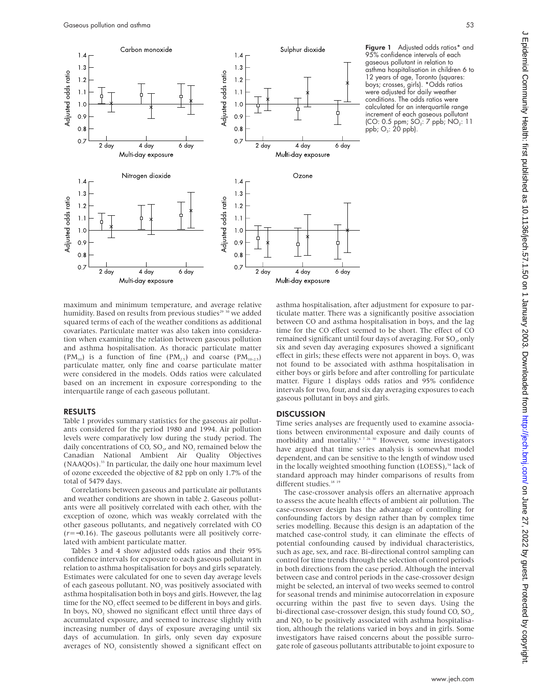

Figure 1 Adjusted odds ratios\* and 95% confidence intervals of each gaseous pollutant in relation to asthma hospitalisation in children 6 to 12 years of age, Toronto (squares: boys; crosses, girls). \*Odds ratios were adjusted for daily weather conditions. The odds ratios were calculated for an interquartile range increment of each gaseous pollutant (CO: 0.5 ppm;  $SO_2$ : 7 ppb;  $NO_2$ : 11 ppb;  $O_3$ : 20 ppb).

maximum and minimum temperature, and average relative humidity. Based on results from previous studies<sup>29 30</sup> we added squared terms of each of the weather conditions as additional covariates. Particulate matter was also taken into consideration when examining the relation between gaseous pollution and asthma hospitalisation. As thoracic particulate matter  $(PM_{10})$  is a function of fine  $(PM_{2.5})$  and coarse  $(PM_{10-2.5})$ particulate matter, only fine and coarse particulate matter were considered in the models. Odds ratios were calculated based on an increment in exposure corresponding to the interquartile range of each gaseous pollutant.

#### RESULTS

Table 1 provides summary statistics for the gaseous air pollutants considered for the period 1980 and 1994. Air pollution levels were comparatively low during the study period. The daily concentrations of CO,  $SO_2$ , and NO<sub>2</sub> remained below the Canadian National Ambient Air Quality Objectives (NAAQOs).33 In particular, the daily one hour maximum level of ozone exceeded the objective of 82 ppb on only 1.7% of the total of 5479 days.

Correlations between gaseous and particulate air pollutants and weather conditions are shown in table 2. Gaseous pollutants were all positively correlated with each other, with the exception of ozone, which was weakly correlated with the other gaseous pollutants, and negatively correlated with CO (*r*=−0.16). The gaseous pollutants were all positively correlated with ambient particulate matter.

Tables 3 and 4 show adjusted odds ratios and their 95% confidence intervals for exposure to each gaseous pollutant in relation to asthma hospitalisation for boys and girls separately. Estimates were calculated for one to seven day average levels of each gaseous pollutant. NO<sub>2</sub> was positively associated with asthma hospitalisation both in boys and girls. However, the lag time for the NO<sub>2</sub> effect seemed to be different in boys and girls. In boys, NO<sub>2</sub> showed no significant effect until three days of accumulated exposure, and seemed to increase slightly with increasing number of days of exposure averaging until six days of accumulation. In girls, only seven day exposure averages of NO<sub>2</sub> consistently showed a significant effect on

asthma hospitalisation, after adjustment for exposure to particulate matter. There was a significantly positive association between CO and asthma hospitalisation in boys, and the lag time for the CO effect seemed to be short. The effect of CO remained significant until four days of averaging. For SO<sub>2</sub>, only six and seven day averaging exposures showed a significant effect in girls; these effects were not apparent in boys.  $O<sub>3</sub>$  was not found to be associated with asthma hospitalisation in either boys or girls before and after controlling for particulate matter. Figure 1 displays odds ratios and 95% confidence intervals for two, four, and six day averaging exposures to each gaseous pollutant in boys and girls.

### **DISCUSSION**

Time series analyses are frequently used to examine associations between environmental exposure and daily counts of morbidity and mortality.<sup>6 7 26 30</sup> However, some investigators have argued that time series analysis is somewhat model dependent, and can be sensitive to the length of window used in the locally weighted smoothing function  $(LOESS)$ ,<sup>34</sup> lack of standard approach may hinder comparisons of results from different studies.<sup>18</sup> <sup>19</sup>

The case-crossover analysis offers an alternative approach to assess the acute health effects of ambient air pollution. The case-crossover design has the advantage of controlling for confounding factors by design rather than by complex time series modelling. Because this design is an adaptation of the matched case-control study, it can eliminate the effects of potential confounding caused by individual characteristics, such as age, sex, and race. Bi-directional control sampling can control for time trends through the selection of control periods in both directions from the case period. Although the interval between case and control periods in the case-crossover design might be selected, an interval of two weeks seemed to control for seasonal trends and minimise autocorrelation in exposure occurring within the past five to seven days. Using the bi-directional case-crossover design, this study found CO, SO<sub>2</sub>, and NO<sub>2</sub> to be positively associated with asthma hospitalisation, although the relations varied in boys and in girls. Some investigators have raised concerns about the possible surrogate role of gaseous pollutants attributable to joint exposure to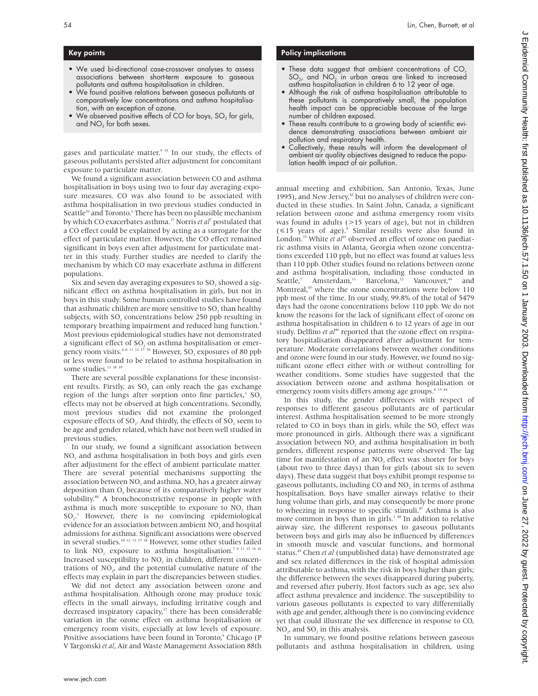## Key points

- We used bi-directional case-crossover analyses to assess associations between short-term exposure to gaseous pollutants and asthma hospitalisation in children.
- We found positive relations between gaseous pollutants at comparatively low concentrations and asthma hospitalisation, with an exception of ozone.
- We observed positive effects of CO for boys,  $SO<sub>2</sub>$  for girls, and  $NO<sub>2</sub>$  for both sexes.

gases and particulate matter.<sup>9 35</sup> In our study, the effects of gaseous pollutants persisted after adjustment for concomitant exposure to particulate matter.

We found a significant association between CO and asthma hospitalisation in boys using two to four day averaging exposure measures. CO was also found to be associated with asthma hospitalisation in two previous studies conducted in Seattle<sup>36</sup> and Toronto.<sup>6</sup> There has been no plausible mechanism by which CO exacerbates asthma.37 Norris *et al*<sup>7</sup> postulated that a CO effect could be explained by acting as a surrogate for the effect of particulate matter. However, the CO effect remained significant in boys even after adjustment for particulate matter in this study. Further studies are needed to clarify the mechanism by which CO may exacerbate asthma in different populations.

Six and seven day averaging exposures to SO<sub>2</sub> showed a significant effect on asthma hospitalisation in girls, but not in boys in this study. Some human controlled studies have found that asthmatic children are more sensitive to SO<sub>2</sub> than healthy subjects, with SO<sub>2</sub> concentrations below 250 ppb resulting in temporary breathing impairment and reduced lung function.4 Most previous epidemiological studies have not demonstrated a significant effect of SO, on asthma hospitalisation or emergency room visits.<sup>6–8 11 12 17 30</sup> However, SO<sub>2</sub> exposures of 80 ppb or less were found to be related to asthma hospitalisation in some studies.<sup>13 38 39</sup>

There are several possible explanations for these inconsistent results. Firstly, as  $SO<sub>2</sub>$  can only reach the gas exchange region of the lungs after sorption onto fine particles, $3$  SO<sub>2</sub> effects may not be observed at high concentrations. Secondly, most previous studies did not examine the prolonged exposure effects of  $SO_2$ . And thirdly, the effects of  $SO_2$  seem to be age and gender related, which have not been well studied in previous studies.

In our study, we found a significant association between  $NO<sub>2</sub>$  and asthma hospitalisation in both boys and girls even after adjustment for the effect of ambient particulate matter. There are several potential mechanisms supporting the association between  $NO<sub>2</sub>$  and asthma.  $NO<sub>2</sub>$  has a greater airway deposition than  $O<sub>3</sub>$  because of its comparatively higher water solubility.40 A bronchoconstrictive response in people with asthma is much more susceptible to exposure to  $NO<sub>2</sub>$ , than SO<sub>2</sub>.<sup>3</sup> However, there is no convincing epidemiological evidence for an association between ambient NO<sub>2</sub> and hospital admissions for asthma. Significant associations were observed in several studies.10 12 13 17 38 However, some other studies failed to link  $\mathrm{NO}_2$  exposure to asthma hospitalisation.  $^{7\,8\,11\,15\,16\,41}$ Increased susceptibility to NO<sub>2</sub> in children, different concentrations of NO<sub>1</sub>, and the potential cumulative nature of the effects may explain in part the discrepancies between studies.

We did not detect any association between ozone and asthma hospitalisation. Although ozone may produce toxic effects in the small airways, including irritative cough and decreased inspiratory capacity,<sup>37</sup> there has been considerable variation in the ozone effect on asthma hospitalisation or emergency room visits, especially at low levels of exposure. Positive associations have been found in Toronto,<sup>6</sup> Chicago (P V Targonski *et al*, Air and Waste Management Association 88th

## Policy implications

- These data suggest that ambient concentrations of CO,  $SO<sub>2</sub>$ , and  $NO<sub>2</sub>$  in urban areas are linked to increased asthma hospitalisation in children 6 to 12 year of age.
- Although the risk of asthma hospitalisation attributable to these pollutants is comparatively small, the population health impact can be appreciable because of the large number of children exposed.
- These results contribute to a growing body of scientific evidence demonstrating associations between ambient air pollution and respiratory health.
- Collectively, these results will inform the development of ambient air quality objectives designed to reduce the population health impact of air pollution.

annual meeting and exhibition, San Antonio, Texas, June 1995), and New Jersey,<sup>42</sup> but no analyses of children were conducted in these studies. In Saint John, Canada, a significant relation between ozone and asthma emergency room visits was found in adults (>15 years of age), but not in children  $(\leq 15$  years of age).<sup>8</sup> Similar results were also found in London.<sup>15</sup> White *et al*<sup>43</sup> observed an effect of ozone on paediatric asthma visits in Atlanta, Georgia when ozone concentrations exceeded 110 ppb, but no effect was found at values less than 110 ppb. Other studies found no relations between ozone and asthma hospitalisation, including those conducted in Seattle,<sup>7</sup> Amsterdam,<sup>11</sup> Barcelona,<sup>12</sup> Vancouver,<sup>44</sup> and Seattle,<sup>7</sup> Amsterdam,<sup>11</sup> Barcelona,<sup>12</sup> Vancouver,<sup>44</sup> and Montreal,<sup>45</sup> where the ozone concentrations were below 110 ppb most of the time. In our study, 99.8% of the total of 5479 days had the ozone concentrations below 110 ppb. We do not know the reasons for the lack of significant effect of ozone on asthma hospitalisation in children 6 to 12 years of age in our study. Delfino *et al*<sup>46</sup> reported that the ozone effect on respiratory hospitalisation disappeared after adjustment for temperature. Moderate correlations between weather conditions and ozone were found in our study. However, we found no significant ozone effect either with or without controlling for weather conditions. Some studies have suggested that the association between ozone and asthma hospitalisation or emergency room visits differs among age groups.<sup>8 15 4</sup>

In this study, the gender differences with respect of responses to different gaseous pollutants are of particular interest. Asthma hospitalisation seemed to be more strongly related to CO in boys than in girls, while the SO<sub>2</sub> effect was more pronounced in girls. Although there was a significant association between NO<sub>2</sub> and asthma hospitalisation in both genders, different response patterns were observed. The lag time for manifestation of an NO<sub>2</sub> effect was shorter for boys (about two to three days) than for girls (about six to seven days). These data suggest that boys exhibit prompt response to gaseous pollutants, including CO and NO<sub>2</sub> in terms of asthma hospitalisation. Boys have smaller airways relative to their lung volume than girls, and may consequently be more prone to wheezing in response to specific stimuli.<sup>47</sup> Asthma is also more common in boys than in girls.<sup>2 48</sup> In addition to relative airway size, the different responses to gaseous pollutants between boys and girls may also be influenced by differences in smooth muscle and vascular functions, and hormonal status.49 Chen *et al* (unpublished data) have demonstrated age and sex related differences in the risk of hospital admission attributable to asthma, with the risk in boys higher than girls; the difference between the sexes disappeared during puberty, and reversed after puberty. Host factors such as age, sex also affect asthma prevalence and incidence. The susceptibility to various gaseous pollutants is expected to vary differentially with age and gender, although there is no convincing evidence yet that could illustrate the sex difference in response to CO, NO<sub>2</sub>, and SO<sub>2</sub> in this analysis.

In summary, we found positive relations between gaseous pollutants and asthma hospitalisation in children, using